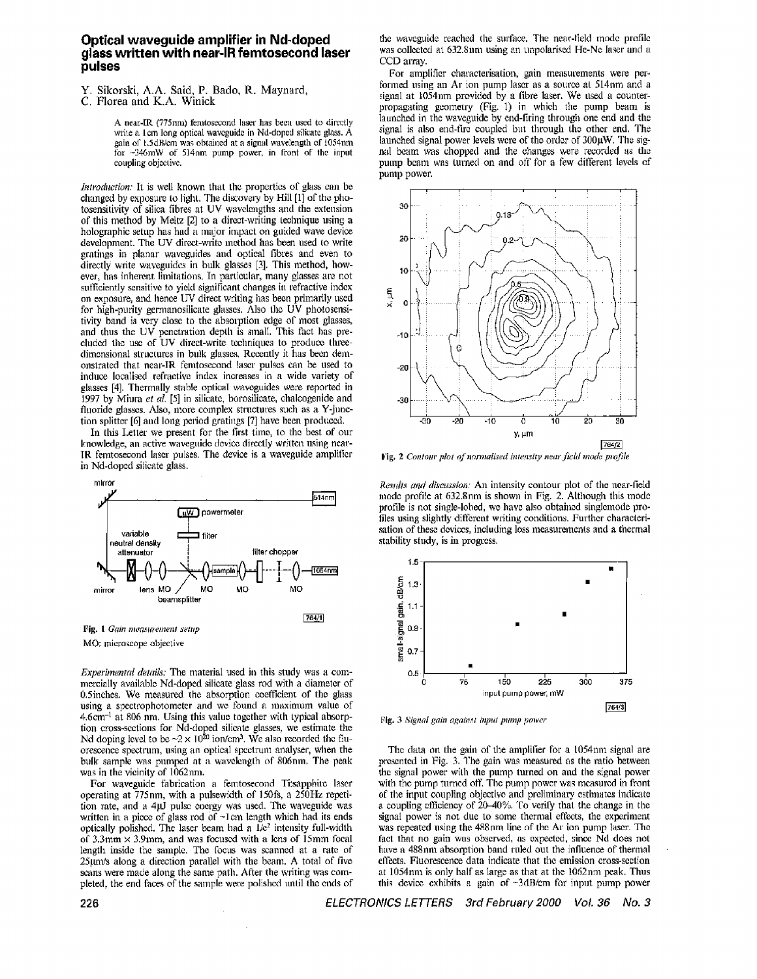## **Optical waveguide amplifier in Nd-doped glass written with near-IR femtosecond laser pulses**

*Y.* Sikorski, **AA.** Said, **P. Bado, R.** Maynard,

**A near-tR (77511111) femtosecond laser** has kcti uscd **to** diirctly write a 1cm long optical waveguide in Nd-doped silicate glass. A gain or ISdWcm **was** obtaincd **at a** sigiid **w:tvelength 01 1054um**  for  $-346$ mW of 514nm pump power, in front of the input coupling objective.

*Introduction:* It is well known that the properties of glass can be cliangcd by **exposure** lo lighl. The discoveiy by Hill **[l]** of thc photosensitivity of silica fibres at UV wavelengths and the extension of this method by Meltz [2] to a direct-writing technique using a holographic setup has had a major impact on guided wave device development. The UV direct-writc inethod has **been used** to write gratings in planar waveguides **and** optical fibres and even to directly write waveguides in bulk glasses [3]. This method, however, has inherent limitations. In particular, many glasses are not sufficiently sensitive to yield significant changes in refractive index on exposure, and hence UV direct writing has been primarily used for high-purity germanosilicate glasses. Also the UV photosensitivity band **is very** close to thc absorption edge or most glasses, and thus the UV pcnctration depth is sinalI. This fact has **pre**cluded the use of UV direct-write techniques to produce threedimensional structures in bulk glasses. Recently it has been demonstrated that near-IR femtosecond **lascr** pulses can be used to induce localised refractive index increases in a wide variety of glasses [4]. Thermally stable optical waveguides were reported in 1997 by Miura et al. [5] in silicate, borosilicate, chalcogenide and fluoride glasses. Also, more complex structures such as a Y-junction splitter [6] **and** long period gratings *[7]* have heen **produccd.** 

In this Letter we present for the first time, to the best of our knowledge, an active waveguide device directly written using near-**1R** femtosecond laser pulses. The device is a waveguide amplifier **in** Nd-dopcd silicate **glass.** 



*Experimental details:* The material used in this study was a commcrcially availfiblc Nd-doped silicate **glass** rod with **a** diametcr of 0.5inches. We measured the absorption coefficient of the glass using a spectrophotometer and **wc** found a maximum **value** of 4.6m-1 at 806 nm. **Using** this **valuc** togcther with lypical absorption cross-scctions for Nd-doped silicate glasses, **we** estimate tlic Nd doping level to be  $\sim 2 \times 10^{20}$  ion/cm<sup>3</sup>. We also recorded the fluorescence spectrum, using an optical spectrum analyser, when the bulk sample was pumped at a wavelength of 806nm. The peak was in the vicinity of 1062nm.

For waveguide fabrication a femtosecond Titsapphire laser operating at **775nm,** with a pnlsewidtli of **ISOfs,** a *250Hz* repetiwritten in a piece of glass rod of ~I cm length which had its ends optically polished. The laser beam **had** n l/c2 **intcnsity** full-width **or** 3.3111m *x* **3.9imm, and** was focuscd with **a** lens of **ISmm** focal length inside the sample. The focus was scanned at a rate of 25µm/s along a direction parallel with the beam. A total of five scans were made along the same path. After the writing was completed, the end **faces** of the sample werc polishd unlil the **entls** of the waveguide reached the surface. The near-field mode profile was collected at 632.8nm using an unpolarised He-Ne laser and a CCD **airay.** 

For amplifier characterisation, gain measurements were performed using an Ar ion pump laser as a source at 514nm and a signal at **1054nm** provicicd by a fibre laser. We used *s* couriteipropagating geometry (Fig. 1) in which the pump beam is launched in the waveguide by end-firing through one end and the signal **IS also** end-fire couplcd but through **the** other eiid. **The**  launched signal power levels were of the order of  $300\mu$ W. The sig**nal** kcam **was** cliopgd **and** the changes were recorded *tis* thc **pump** bcam was **tutned 011** and oil' *for* a few different levcls of punip power.



Fig. 2 Contour plot of normalised intensity near field mode profile

*Rmdts rrnd discussion:* **An** intensity contour plot of **tlic** ncar-licld niodc profile at 632.8nm **is** shown in **Fig.** 2. Although this modc profile is not single-lobed, we havc also obtaincd singlcmode **pro**files using slightly different writing conditions. Further characterisation of these devices, including loss measurements and a thermal stability study, is in progrcss.



Fig. 3 Signal gain against input pump power

Thc data on the gain of' ilie amplifier for a 1054nm signal are prcscntcd **in** Fig. *3.* The gin was measured **as** the ratio between thc signal power wilh the pump turned on and tlie signal **power**  with the pump turned off. The pump power was measured in front of the input coupling objective and preliminary estimates indicate a coupling efficiency of 20-40%. To verify that the change in the signal power is not due to some thermal effects, the experiment was repeated using the 488nm line of the Ar ion pump laser. The fact that no gain was observed, as expected, since Nd does not have a 488nm absorption band ruled out the influence of thermal effects. Fiuorescence data indicate that the emission cross-section at 1054nm is only half as large as that at the 1062nm peak. Thus this device exhibits a gain of ~3dB/cm for input pump power

**C. Florea** and **K.A.** Winick